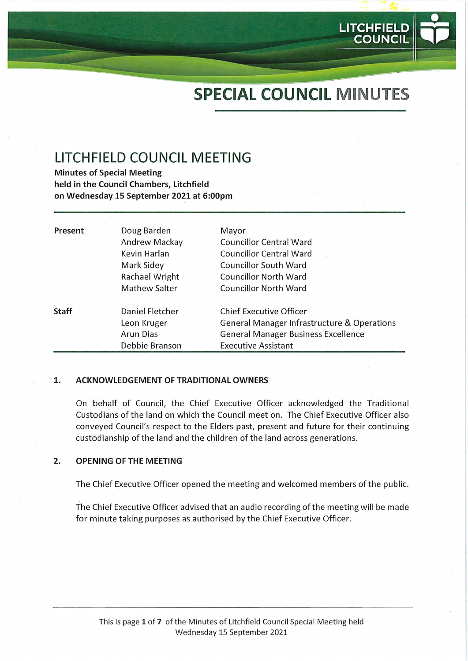# SPECIAL COUNCIL MINUTES

LITCHFIEL

**COUNCIL** 

## LITCHFIELD COUNCIL MEETING

Minutes of Special Meeting held in the Council Chambers, Litchfield on Wednesday 15 September 2021 at 6:00pm

| Present      | Doug Barden<br>Andrew Mackay<br>Kevin Harlan<br>Mark Sidey<br>Rachael Wright<br><b>Mathew Salter</b> | Mayor<br><b>Councillor Central Ward</b><br><b>Councillor Central Ward</b><br><b>Councillor South Ward</b><br><b>Councillor North Ward</b><br><b>Councillor North Ward</b> |  |
|--------------|------------------------------------------------------------------------------------------------------|---------------------------------------------------------------------------------------------------------------------------------------------------------------------------|--|
| <b>Staff</b> | Daniel Fletcher<br>Leon Kruger<br>Arun Dias<br>Debbie Branson                                        | <b>Chief Executive Officer</b><br><b>General Manager Infrastructure &amp; Operations</b><br><b>General Manager Business Excellence</b><br><b>Executive Assistant</b>      |  |

#### 1. ACKNOWLEDGEMENT OF TRADITIONAL OWNERS

On behalf of Council, the Chief Executive Officer acknowledged the Traditional Custodians of the land on which the Council meet on. The Chief Executive Officer also conveyed Council's respect to the Elders past, present and future for their continuing custodianship of the land and the children of the land across generations.

#### $\overline{2}$ . OPENING OF THE MEETING

The Chief Executive Officer opened the meeting and welcomed members of the public.

The Chief Executive Officer advised that an audio recording of the meeting will be made for minute taking purposes as authorised by the Chief Executive Officer.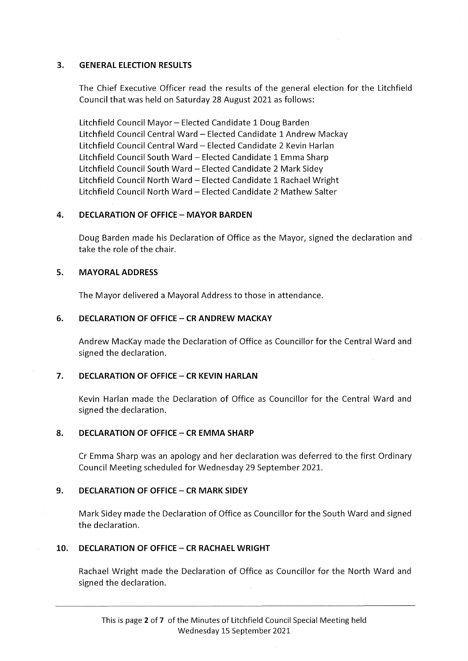#### 3. GENERAL ELECTION RESULTS

The Chief Executive Officer read the results of the general election for the Litchfield Council that was held on Saturday 28 August 2021 as follows:

Litchfield Council Mayor- Elected Candidate 1 Doug Barden Litchfield Council Central Ward - Elected Candidate 1 Andrew Mackay Litchfield Council Central Ward - Elected Candidate 2 Kevin Harlan Litchfield Council South Ward - Elected Candidate 1 Emma Sharp Litchfield Council South Ward - Elected Candidate 2 Mark Sidey Litchfield Council North Ward - Elected Candidate 1 Rachael Wright Litchfield Council North Ward - Elected Candidate 2'Mathew Salter

#### 4. DECLARATION OF OFFICE - MAYOR BARDEN

Doug Barden made his Declaration of Office as the Mayor, signed the declaration and take the role of the chair.

#### 5. MAYORAL ADDRESS

The Mayor delivered a Mayoral Address to those in attendance.

#### 6. DECLARATION OF OFFICE - CR ANDREW MACKAY

Andrew MacKay made the Declaration of Office as Councillor for the Central Ward and signed the declaration.

## 7. DECLARATION OF OFFICE - CR KEVIN HARLAN

Kevin Harlan made the Declaration of Office as Councillor for the Central Ward and signed the declaration.

## 8. DECLARATION OF OFFICE - CR EMMA SHARP

Cr Emma Sharp was an apology and her declaration was deferred to the first Ordinary Council Meeting scheduled for Wednesday 29 September 2021.

#### 9. DECLARATION OF OFFICE - CR MARK SIDEY

Mark Sidey made the Declaration of Office as Councillor for the South Ward and signed the declaration.

## 10. DECLARATION OF OFFICE - CR RACHAEL WRIGHT

Rachael Wright made the Declaration of Office as Councillor for the North Ward and signed the declaration.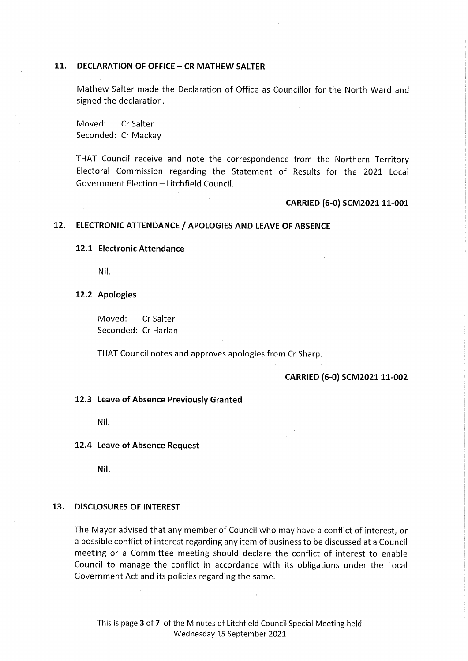#### 11. DECLARATION OF OFFICE - CR MATHEW SALTER

Mathew Salter made the Declaration of Office as Councillor for the North Ward and signed the declaration.

Moved: CrSalter Seconded: Cr Mackay

THAT Council receive and note the correspondence from the Northern Territory Electoral Commission regarding the Statement of Results for the 2021 Local Government Election - Litchfield Council.

#### CARRIED (6-0) SCM2021 11-001

#### 12. ELECTRONIC ATTENDANCE / APOLOGIES AND LEAVE OF ABSENCE

#### 12.1 Electronic Attendance

Nil.

#### 12.2 Apologies

Moved: CrSalter Seconded: Cr Harlan

THAT Council notes and approves apologies from Cr Sharp.

#### CARRIED (6-0) SCM2021 11-002

#### 12.3 Leave of Absence Previously Granted

Nil.

12.4 Leave of Absence Request

Nil.

#### 13. DISCLOSURES OF INTEREST

The Mayor advised that any member of Council who may have a conflict of interest, or a possible conflict of interest regarding any item of business to be discussed at a Council meeting or a Committee meeting should declare the conflict of interest to enable Council to manage the conflict in accordance with its obligations under the Local Government Act and its policies regarding the same.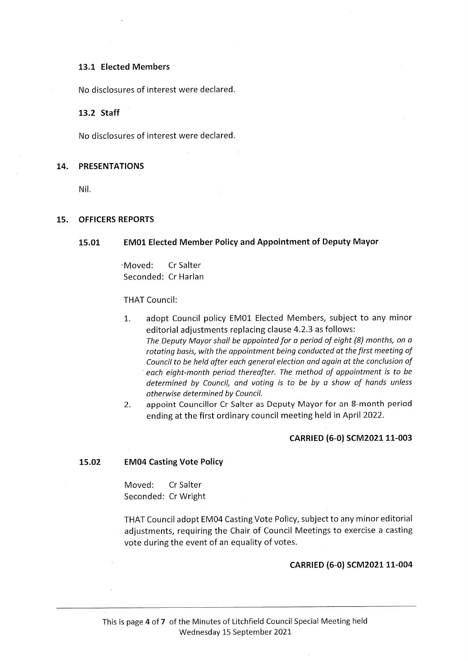#### 13.1 Elected Members

No disclosures of interest were declared.

#### 13.2 Staff

No disclosures of interest were declared.

#### 14. PRESENTATIONS

Nil.

#### 15. OFFICERS REPORTS

#### 15.01 EM01 Elected Member Policy and Appointment of Deputy Mayor

•Moved: CrSalter Seconded: Cr Harlan

#### THAT Council:

- 1. adopt Council policy EM01 Elected Members, subject to any minor editorial adjustments replacing clause 4.2.3 as follows: The Deputy Mayor shall be appointed for a period of eight (8) months, on a rotating basis, with the appointment being conducted at the first meeting of Council to be held after each general election and again at the conclusion of each eight-month period thereafter. The method of appointment is to be determined by Council, and voting is to be by a show of hands unless otherwise determined by Council.
- 2. appoint Councillor Cr Salter as Deputy Mayor for an 8-month period ending at the first ordinary council meeting held in April 2022.

#### CARRIED (6-0) SCM2021 11-003

#### 15.02 EM04 Casting Vote Policy

Moved: CrSalter Seconded: Cr Wright

THAT Council adopt EM04 Casting Vote Policy, subject to any minor editorial adjustments, requiring the Chair of Council Meetings to exercise a casting vote during the event of an equality of votes.

#### CARRIED (6-0) SCM2021 11-004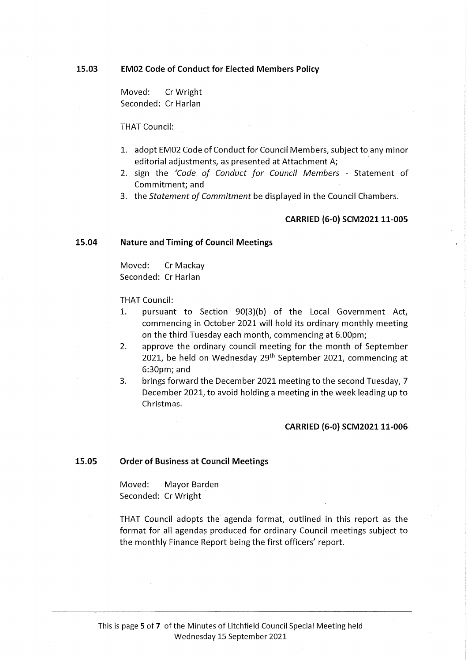15.03 EM02 Code of Conduct for Elected Members Policy

Moved: CrWright Seconded: Cr Harlan

#### THAT Council:

- 1. adopt EM02 Code of Conduct for Council Members, subject to any minor editorial adjustments, as presented at Attachment A;
- 2. sign the 'Code of Conduct for Council Members Statement of Commitment; and
- 3. the Statement of Commitment be displayed in the Council Chambers.

#### CARRIED (6-0) SCM2021 11-005

#### 15.04 Nature and Timing of Council Meetings

Moved: Cr Mackay Seconded: Cr Harlan

#### THAT Council:

- 1. pursuant to Section 90(3)(b) of the Local Government Act, commencing in October 2021 will hold its ordinary monthly meeting on the third Tuesday each month, commencing at 6.00pm;
- 2. approve the ordinary council meeting for the month of September 2021, be held on Wednesday 29<sup>th</sup> September 2021, commencing at 6:30pm; and
- 3. brings forward the December 2021 meeting to the second Tuesday, 7 December 2021, to avoid holding a meeting in the week leading up to Christmas.

#### CARRIED (6-0) SCM2021 11-006

#### 15.05 Order of Business at Council Meetings

Moved: Mayor Barden Seconded: CrWright

THAT Council adopts the agenda format, outlined in this report as the format for all agendas produced for ordinary Council meetings subject to the monthly Finance Report being the first officers' report.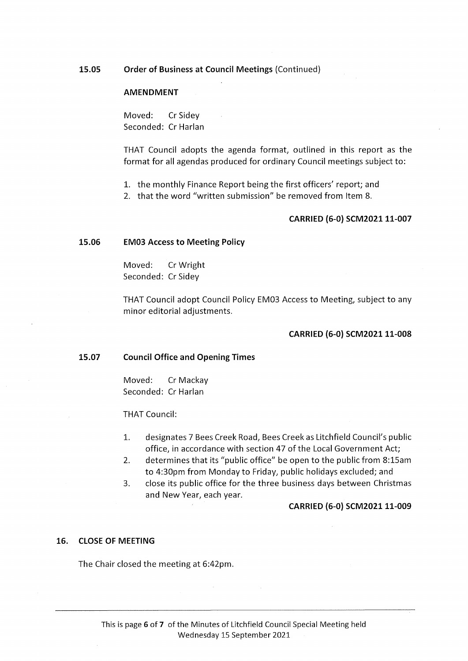#### 15.05 Order of Business at Council Meetings (Continued)

#### AMENDMENT

Moved: CrSidey Seconded: Cr Harlan

THAT Council adopts the agenda format, outlined in this report as the format for all agendas produced for ordinary Council meetings subject to:

- 1. the monthly Finance Report being the first officers' report; and
- 2. that the word "written submission" be removed from Item 8.

#### CARRIED (6-0) SCM2021 11-007

#### 15.06 EM03 Access to Meeting Policy

Moved: CrWright Seconded: Cr Sidey

THAT Council adopt Council Policy EM03 Access to Meeting, subject to any minor editorial adjustments.

#### CARRIED (6-0) SCM202111-008

#### 15.07 Council Office and Opening Times

Moved: Cr Mackay Seconded: Cr Harlan

THAT Council:

- 1. designates 7 Bees Creek Road, Bees Creek as Litchfield Council's public office, in accordance with section 47 of the Local Government Act;
- 2. determines that its "public office" be open to the public from 8:15am to 4:30pm from Monday to Friday, public holidays excluded; and
- 3. close its public office for the three business days between Christmas and New Year, each year.

#### CARRIED (6-0) SCM202111-009

#### 16. CLOSE OF MEETING

The Chair closed the meeting at 6:42pm.